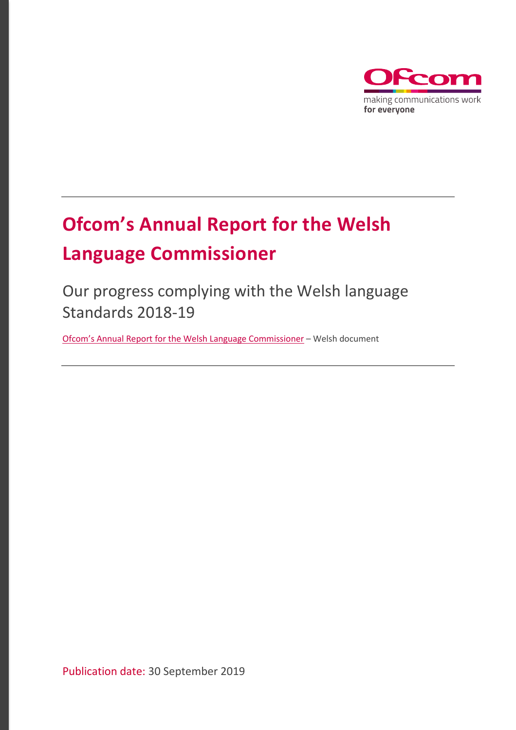

# **Ofcom's Annual Report for the Welsh Language Commissioner**

Our progress complying with the Welsh language Standards 2018-19

[Ofcom's Annual Report for the Welsh Language Commissioner](https://www.ofcom.org.uk/__data/assets/pdf_file/0030/168924/adroddiad-blynyddol-ofcom-i-gomisiynydd-y-gymraeg.pdf) – Welsh document

Publication date: 30 September 2019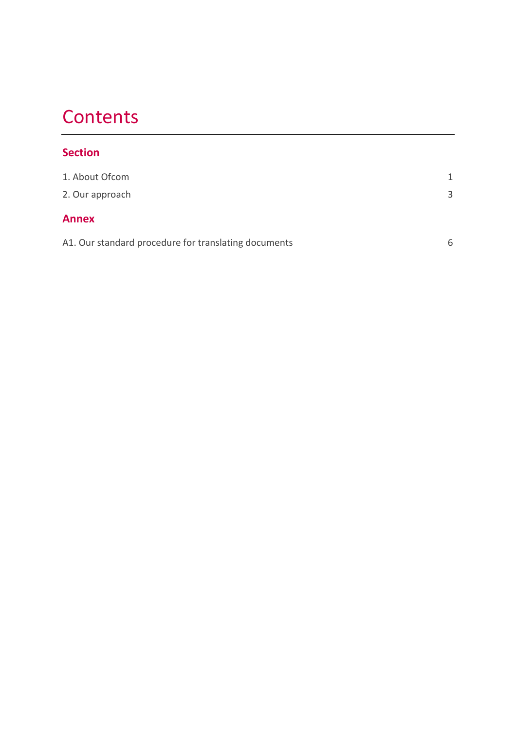### **Contents**

#### **Section**

| 1. About Ofcom                                       | 1 |
|------------------------------------------------------|---|
| 2. Our approach                                      | 3 |
| <b>Annex</b>                                         |   |
| A1. Our standard procedure for translating documents | 6 |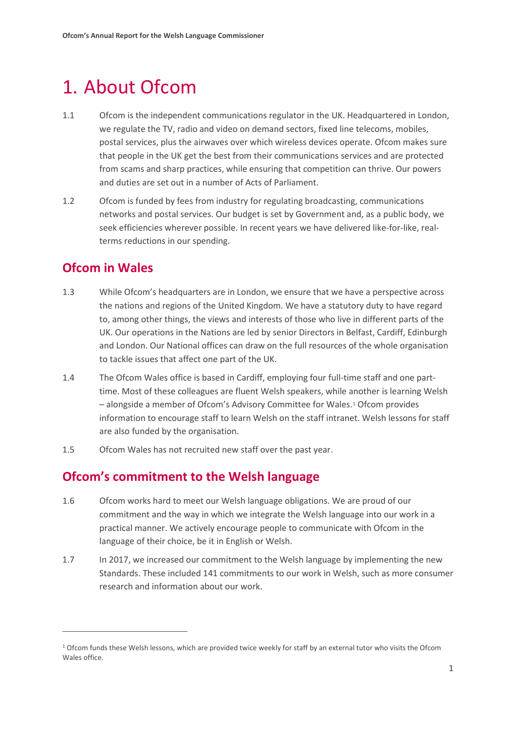### <span id="page-2-0"></span>1. About Ofcom

- 1.1 Ofcom is the independent communications regulator in the UK. Headquartered in London, we regulate the TV, radio and video on demand sectors, fixed line telecoms, mobiles, postal services, plus the airwaves over which wireless devices operate. Ofcom makes sure that people in the UK get the best from their communications services and are protected from scams and sharp practices, while ensuring that competition can thrive. Our powers and duties are set out in a number of Acts of Parliament.
- 1.2 Ofcom is funded by fees from industry for regulating broadcasting, communications networks and postal services. Our budget is set by Government and, as a public body, we seek efficiencies wherever possible. In recent years we have delivered like-for-like, realterms reductions in our spending.

#### **Ofcom in Wales**

 $\overline{a}$ 

- 1.3 While Ofcom's headquarters are in London, we ensure that we have a perspective across the nations and regions of the United Kingdom. We have a statutory duty to have regard to, among other things, the views and interests of those who live in different parts of the UK. Our operations in the Nations are led by senior Directors in Belfast, Cardiff, Edinburgh and London. Our National offices can draw on the full resources of the whole organisation to tackle issues that affect one part of the UK.
- 1.4 The Ofcom Wales office is based in Cardiff, employing four full-time staff and one parttime. Most of these colleagues are fluent Welsh speakers, while another is learning Welsh – alongside a member of Ofcom's Advisory Committee for Wales.[1](#page-2-1) Ofcom provides information to encourage staff to learn Welsh on the staff intranet. Welsh lessons for staff are also funded by the organisation.
- 1.5 Ofcom Wales has not recruited new staff over the past year.

#### **Ofcom's commitment to the Welsh language**

- 1.6 Ofcom works hard to meet our Welsh language obligations. We are proud of our commitment and the way in which we integrate the Welsh language into our work in a practical manner. We actively encourage people to communicate with Ofcom in the language of their choice, be it in English or Welsh.
- 1.7 In 2017, we increased our commitment to the Welsh language by implementing the new Standards. These included 141 commitments to our work in Welsh, such as more consumer research and information about our work.

<span id="page-2-1"></span><sup>1</sup> Ofcom funds these Welsh lessons, which are provided twice weekly for staff by an external tutor who visits the Ofcom Wales office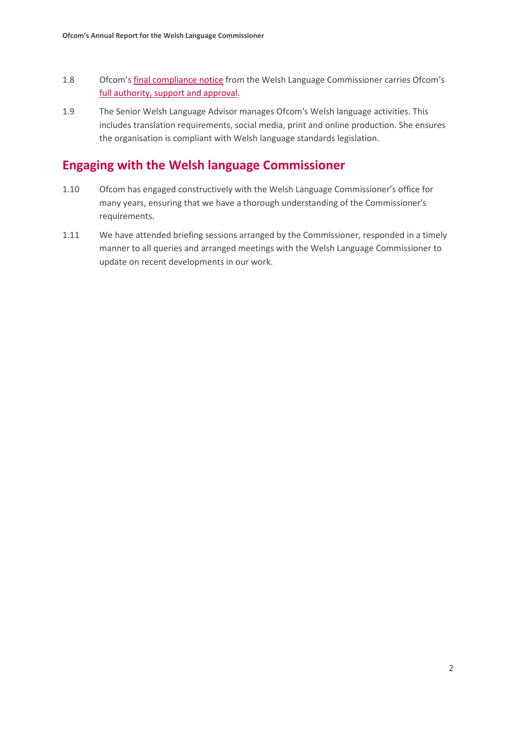- 1.8 Ofcom's [final compliance notice](https://www.ofcom.org.uk/__data/assets/pdf_file/0026/96920/Hysbysiad-Cydymffurfio44-Y-Swyddfa-Gyfathrebiadau-en.pdf) from the Welsh Language Commissioner carries Ofcom's [full authority, support and approval.](https://www.ofcom.org.uk/about-ofcom/latest/media/media-releases/2016/ofcom-supports-new-welsh-language-standards)
- 1.9 The Senior Welsh Language Advisor manages Ofcom's Welsh language activities. This includes translation requirements, social media, print and online production. She ensures the organisation is compliant with Welsh language standards legislation.

#### **Engaging with the Welsh language Commissioner**

- 1.10 Ofcom has engaged constructively with the Welsh Language Commissioner's office for many years, ensuring that we have a thorough understanding of the Commissioner's requirements.
- 1.11 We have attended briefing sessions arranged by the Commissioner, responded in a timely manner to all queries and arranged meetings with the Welsh Language Commissioner to update on recent developments in our work.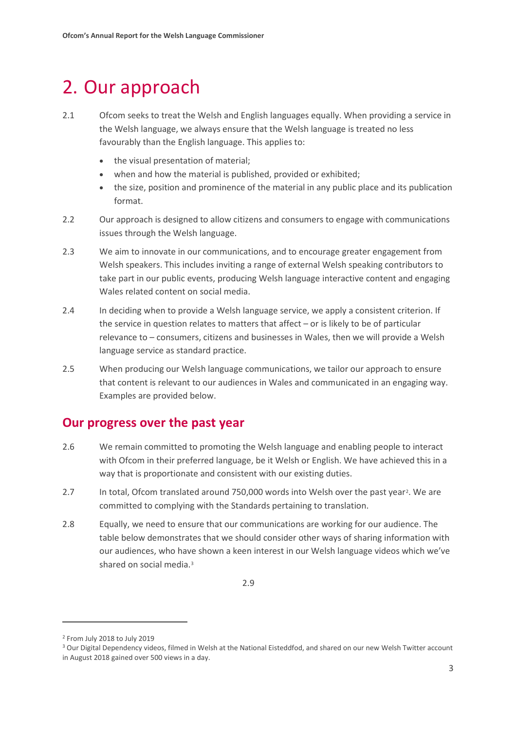### <span id="page-4-0"></span>2. Our approach

- 2.1 Ofcom seeks to treat the Welsh and English languages equally. When providing a service in the Welsh language, we always ensure that the Welsh language is treated no less favourably than the English language. This applies to:
	- the visual presentation of material;
	- when and how the material is published, provided or exhibited;
	- the size, position and prominence of the material in any public place and its publication format.
- 2.2 Our approach is designed to allow citizens and consumers to engage with communications issues through the Welsh language.
- 2.3 We aim to innovate in our communications, and to encourage greater engagement from Welsh speakers. This includes inviting a range of external Welsh speaking contributors to take part in our public events, producing Welsh language interactive content and engaging Wales related content on social media.
- 2.4 In deciding when to provide a Welsh language service, we apply a consistent criterion. If the service in question relates to matters that affect – or is likely to be of particular relevance to – consumers, citizens and businesses in Wales, then we will provide a Welsh language service as standard practice.
- 2.5 When producing our Welsh language communications, we tailor our approach to ensure that content is relevant to our audiences in Wales and communicated in an engaging way. Examples are provided below.

#### **Our progress over the past year**

- 2.6 We remain committed to promoting the Welsh language and enabling people to interact with Ofcom in their preferred language, be it Welsh or English. We have achieved this in a way that is proportionate and consistent with our existing duties.
- 2.7 In total, Ofcom translated around 750,000 words into Welsh over the past year[2](#page-4-1). We are committed to complying with the Standards pertaining to translation.
- 2.8 Equally, we need to ensure that our communications are working for our audience. The table below demonstrates that we should consider other ways of sharing information with our audiences, who have shown a keen interest in our Welsh language videos which we've shared on social media.<sup>[3](#page-4-2)</sup>

 $\overline{a}$ 

<sup>2.9</sup>

<span id="page-4-1"></span><sup>2</sup> From July 2018 to July 2019

<span id="page-4-2"></span><sup>3</sup> Our Digital Dependency videos, filmed in Welsh at the National Eisteddfod, and shared on our new Welsh Twitter account in August 2018 gained over 500 views in a day.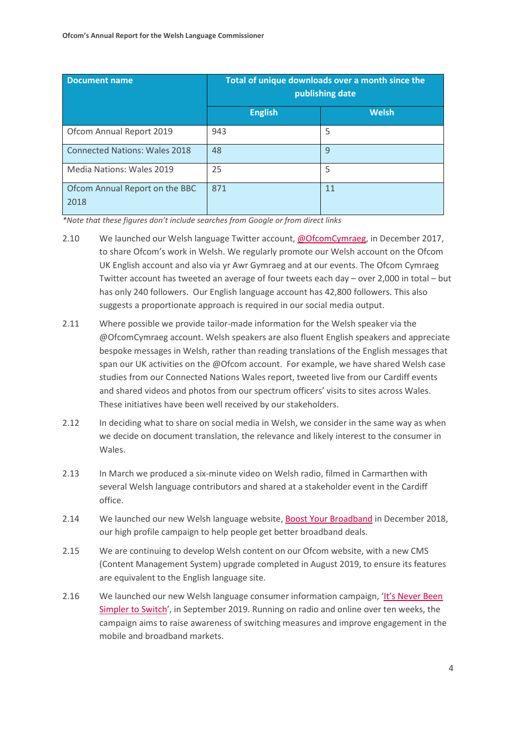| <b>Document name</b>                   | Total of unique downloads over a month since the<br>publishing date |              |
|----------------------------------------|---------------------------------------------------------------------|--------------|
|                                        | <b>English</b>                                                      | <b>Welsh</b> |
| Ofcom Annual Report 2019               | 943                                                                 | 5            |
| <b>Connected Nations: Wales 2018</b>   | 48                                                                  | 9            |
| Media Nations: Wales 2019              | 25                                                                  | 5            |
| Ofcom Annual Report on the BBC<br>2018 | 871                                                                 | 11           |

*\*Note that these figures don't include searches from Google or from direct links*

- 2.10 We launched our Welsh language Twitter account, [@OfcomCymraeg,](https://twitter.com/OfcomCymraeg) in December 2017, to share Ofcom's work in Welsh. We regularly promote our Welsh account on the Ofcom UK English account and also via yr Awr Gymraeg and at our events. The Ofcom Cymraeg Twitter account has tweeted an average of four tweets each day – over 2,000 in total – but has only 240 followers. Our English language account has 42,800 followers. This also suggests a proportionate approach is required in our social media output.
- 2.11 Where possible we provide tailor-made information for the Welsh speaker via the @OfcomCymraeg account. Welsh speakers are also fluent English speakers and appreciate bespoke messages in Welsh, rather than reading translations of the English messages that span our UK activities on the @Ofcom account. For example, we have shared Welsh case studies from our Connected Nations Wales report, tweeted live from our Cardiff events and shared videos and photos from our spectrum officers' visits to sites across Wales. These initiatives have been well received by our stakeholders.
- 2.12 In deciding what to share on social media in Welsh, we consider in the same way as when we decide on document translation, the relevance and likely interest to the consumer in Wales.
- 2.13 In March we produced a six-minute video on Welsh radio, filmed in Carmarthen with several Welsh language contributors and shared at a stakeholder event in the Cardiff office.
- 2.14 We launched our new Welsh language website, [Boost Your Broadband](https://www.boostyourbroadband.com/cymru/home) in December 2018, our high profile campaign to help people get better broadband deals.
- 2.15 We are continuing to develop Welsh content on our Ofcom website, with a new CMS (Content Management System) upgrade completed in August 2019, to ensure its features are equivalent to the English language site.
- 2.16 We launched our new Welsh language consumer information campaign, 'It's Never Been [Simpler to Switch'](https://www.ofcom.org.uk/cymru/about-ofcom/latest/features-and-news/ofcom-campaign-encourage-switching), in September 2019. Running on radio and online over ten weeks, the campaign aims to raise awareness of switching measures and improve engagement in the mobile and broadband markets.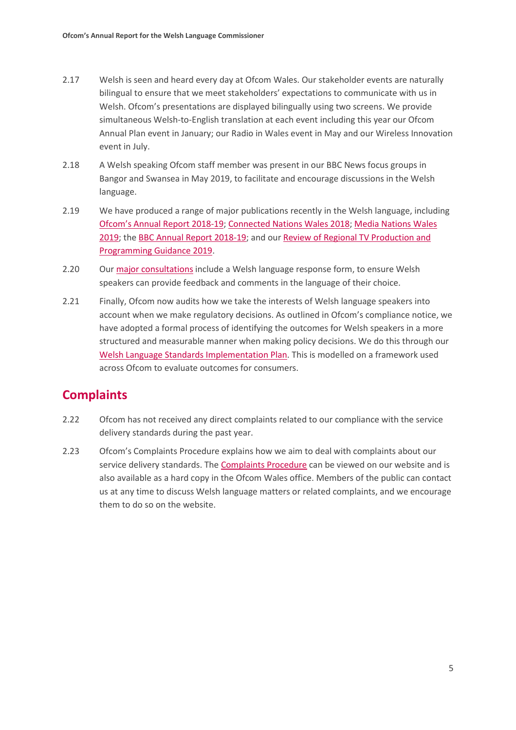- 2.17 Welsh is seen and heard every day at Ofcom Wales. Our stakeholder events are naturally bilingual to ensure that we meet stakeholders' expectations to communicate with us in Welsh. Ofcom's presentations are displayed bilingually using two screens. We provide simultaneous Welsh-to-English translation at each event including this year our Ofcom Annual Plan event in January; our Radio in Wales event in May and our Wireless Innovation event in July.
- 2.18 A Welsh speaking Ofcom staff member was present in our BBC News focus groups in Bangor and Swansea in May 2019, to facilitate and encourage discussions in the Welsh language.
- 2.19 We have produced a range of major publications recently in the Welsh language, including [Ofcom's Annual Report](https://www.ofcom.org.uk/cymru/about-ofcom/annual-reports-and-plans) 2018-19; [Connected Nations Wales](https://www.ofcom.org.uk/__data/assets/pdf_file/0023/130829/Adroddiad-Cysylltur-Gwledydd-2018-Cymru.pdf) 2018; [Media Nations Wales](https://www.ofcom.org.uk/__data/assets/pdf_file/0018/160650/cyfryngaur-fenedl-2019-cymru.pdf) [2019;](https://www.ofcom.org.uk/__data/assets/pdf_file/0018/160650/cyfryngaur-fenedl-2019-cymru.pdf) th[e BBC Annual Report 2018-19;](https://www.ofcom.org.uk/cymru/tv-radio-and-on-demand/information-for-industry/bbc-operating-framework/performance/bbc-annual-report) and ou[r Review of Regional TV Production and](https://www.ofcom.org.uk/__data/assets/pdf_file/0019/153163/adolygiad-or-canllawiau-ar-gyfer-cynyrchiadau-a-rhaglenni-rhanbarthol.pdf)  [Programming Guidance 2019.](https://www.ofcom.org.uk/__data/assets/pdf_file/0019/153163/adolygiad-or-canllawiau-ar-gyfer-cynyrchiadau-a-rhaglenni-rhanbarthol.pdf)
- 2.20 Our [major consultations](https://www.ofcom.org.uk/cymru/consultations-and-statements) include a Welsh language response form, to ensure Welsh speakers can provide feedback and comments in the language of their choice.
- 2.21 Finally, Ofcom now audits how we take the interests of Welsh language speakers into account when we make regulatory decisions. As outlined in Ofcom's compliance notice, we have adopted a formal process of identifying the outcomes for Welsh speakers in a more structured and measurable manner when making policy decisions. We do this through our [Welsh Language Standards Implementation Plan.](https://www.ofcom.org.uk/__data/assets/pdf_file/0009/103023/welsh-language-standards-implementation-plan.pdf) This is modelled on a framework used across Ofcom to evaluate outcomes for consumers.

#### **Complaints**

- 2.22 Ofcom has not received any direct complaints related to our compliance with the service delivery standards during the past year.
- 2.23 Ofcom's Complaints Procedure explains how we aim to deal with complaints about our service delivery standards. Th[e Complaints Procedure](https://www.ofcom.org.uk/cymru/about-ofcom/how-ofcom-is-run/nations-and-regions/wales) can be viewed on our website and is also available as a hard copy in the Ofcom Wales office. Members of the public can contact us at any time to discuss Welsh language matters or related complaints, and we encourage them to do so on the website.